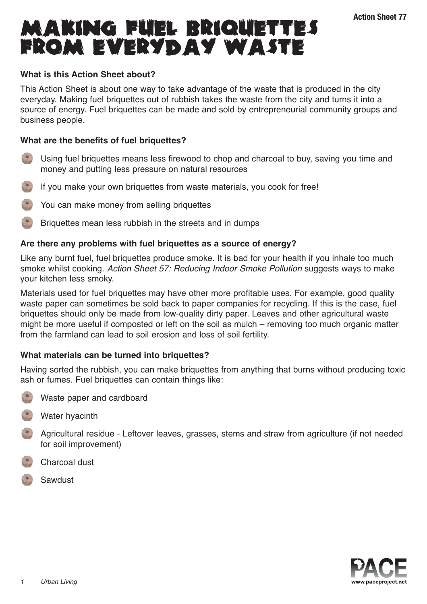# **MAKING FUEL BRIQUETTES** Action Sheet 77<br>FROM EVERYDAY WASTE

# **What is this Action Sheet about?**

This Action Sheet is about one way to take advantage of the waste that is produced in the city everyday. Making fuel briquettes out of rubbish takes the waste from the city and turns it into a source of energy. Fuel briquettes can be made and sold by entrepreneurial community groups and business people.

# **What are the benefits of fuel briquettes?**

- Using fuel briquettes means less firewood to chop and charcoal to buy, saving you time and money and putting less pressure on natural resources
- If you make your own briquettes from waste materials, you cook for free!
- You can make money from selling briquettes
- Briquettes mean less rubbish in the streets and in dumps

# **Are there any problems with fuel briquettes as a source of energy?**

Like any burnt fuel, fuel briquettes produce smoke. It is bad for your health if you inhale too much smoke whilst cooking. Action Sheet 57: Reducing Indoor Smoke Pollution suggests ways to make your kitchen less smoky.

Materials used for fuel briquettes may have other more profitable uses. For example, good quality waste paper can sometimes be sold back to paper companies for recycling. If this is the case, fuel briquettes should only be made from low-quality dirty paper. Leaves and other agricultural waste might be more useful if composted or left on the soil as mulch – removing too much organic matter from the farmland can lead to soil erosion and loss of soil fertility.

# **What materials can be turned into briquettes?**

Having sorted the rubbish, you can make briquettes from anything that burns without producing toxic ash or fumes. Fuel briquettes can contain things like:

- - Waste paper and cardboard
- Water hyacinth
- **Agricultural residue Leftover leaves, grasses, stems and straw from agriculture (if not needed** for soil improvement)
- Charcoal dust
- Sawdust

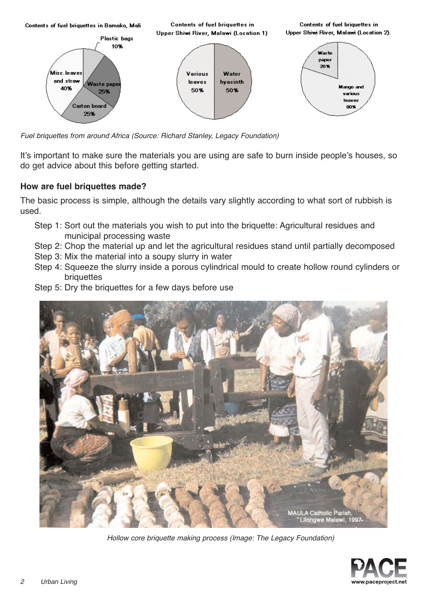

Fuel briquettes from around Africa (Source: Richard Stanley, Legacy Foundation)

It's important to make sure the materials you are using are safe to burn inside people's houses, so do get advice about this before getting started.

## **How are fuel briquettes made?**

The basic process is simple, although the details vary slightly according to what sort of rubbish is used.

- Step 1: Sort out the materials you wish to put into the briquette: Agricultural residues and municipal processing waste
- Step 2: Chop the material up and let the agricultural residues stand until partially decomposed
- Step 3: Mix the material into a soupy slurry in water
- Step 4: Squeeze the slurry inside a porous cylindrical mould to create hollow round cylinders or briquettes
- Step 5: Dry the briquettes for a few days before use



Hollow core briquette making process (Image: The Legacy Foundation)

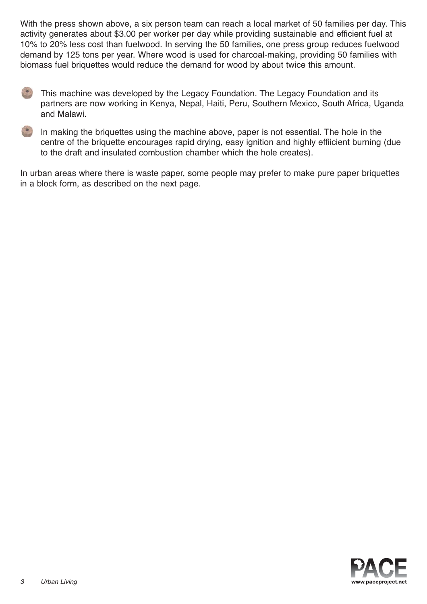With the press shown above, a six person team can reach a local market of 50 families per day. This activity generates about \$3.00 per worker per day while providing sustainable and efficient fuel at 10% to 20% less cost than fuelwood. In serving the 50 families, one press group reduces fuelwood demand by 125 tons per year. Where wood is used for charcoal-making, providing 50 families with biomass fuel briquettes would reduce the demand for wood by about twice this amount.

- This machine was developed by the Legacy Foundation. The Legacy Foundation and its partners are now working in Kenya, Nepal, Haiti, Peru, Southern Mexico, South Africa, Uganda and Malawi.
- 

In making the briquettes using the machine above, paper is not essential. The hole in the centre of the briquette encourages rapid drying, easy ignition and highly effiicient burning (due to the draft and insulated combustion chamber which the hole creates).

In urban areas where there is waste paper, some people may prefer to make pure paper briquettes in a block form, as described on the next page.

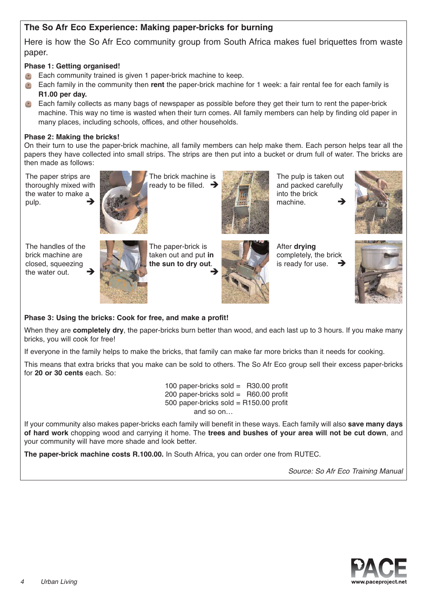# **The So Afr Eco Experience: Making paper-bricks for burning**

Here is how the So Afr Eco community group from South Africa makes fuel briquettes from waste paper.

### **Phase 1: Getting organised!**

- Each community trained is given 1 paper-brick machine to keep.
- Each family in the community then **rent** the paper-brick machine for 1 week: a fair rental fee for each family is **R1.00 per day.**
- Each family collects as many bags of newspaper as possible before they get their turn to rent the paper-brick machine. This way no time is wasted when their turn comes. All family members can help by finding old paper in many places, including schools, offices, and other households.

#### **Phase 2: Making the bricks!**

On their turn to use the paper-brick machine, all family members can help make them. Each person helps tear all the papers they have collected into small strips. The strips are then put into a bucket or drum full of water. The bricks are then made as follows:

The paper strips are thoroughly mixed with the water to make a pulp.

The handles of the brick machine are closed, squeezing the water out



The brick machine is ready to be filled.  $\rightarrow$ 



The pulp is taken out and packed carefully into the brick machine. -





The paper-brick is taken out and put **in the sun to dry out**.  $\rightarrow$ 



After **drying** completely, the brick is ready for use.



## **Phase 3: Using the bricks: Cook for free, and make a profit!**

When they are **completely dry**, the paper-bricks burn better than wood, and each last up to 3 hours. If you make many bricks, you will cook for free!

If everyone in the family helps to make the bricks, that family can make far more bricks than it needs for cooking.

This means that extra bricks that you make can be sold to others. The So Afr Eco group sell their excess paper-bricks for **20 or 30 cents** each. So:

> 100 paper-bricks sold = R30.00 profit 200 paper-bricks sold = R60.00 profit 500 paper-bricks sold =  $R150.00$  profit and so on…

If your community also makes paper-bricks each family will benefit in these ways. Each family will also **save many days of hard work** chopping wood and carrying it home. The **trees and bushes of your area will not be cut down**, and your community will have more shade and look better.

**The paper-brick machine costs R.100.00.** In South Africa, you can order one from RUTEC.

Source: So Afr Eco Training Manual

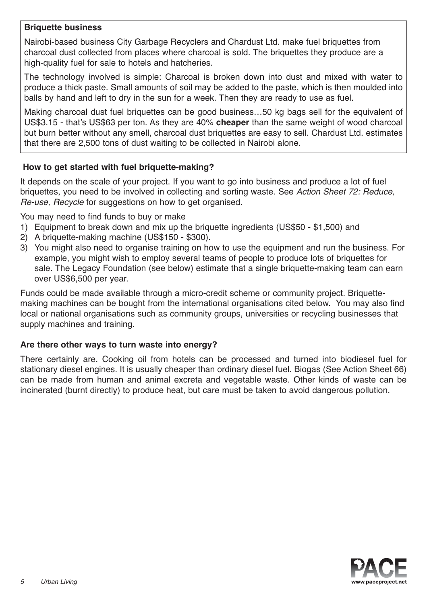# **Briquette business**

Nairobi-based business City Garbage Recyclers and Chardust Ltd. make fuel briquettes from charcoal dust collected from places where charcoal is sold. The briquettes they produce are a high-quality fuel for sale to hotels and hatcheries.

The technology involved is simple: Charcoal is broken down into dust and mixed with water to produce a thick paste. Small amounts of soil may be added to the paste, which is then moulded into balls by hand and left to dry in the sun for a week. Then they are ready to use as fuel.

Making charcoal dust fuel briquettes can be good business…50 kg bags sell for the equivalent of US\$3.15 - that's US\$63 per ton. As they are 40% **cheaper** than the same weight of wood charcoal but burn better without any smell, charcoal dust briquettes are easy to sell. Chardust Ltd. estimates that there are 2,500 tons of dust waiting to be collected in Nairobi alone.

## **How to get started with fuel briquette-making?**

It depends on the scale of your project. If you want to go into business and produce a lot of fuel briquettes, you need to be involved in collecting and sorting waste. See Action Sheet 72: Reduce, Re-use, Recycle for suggestions on how to get organised.

You may need to find funds to buy or make

- 1) Equipment to break down and mix up the briquette ingredients (US\$50 \$1,500) and
- 2) A briquette-making machine (US\$150 \$300).
- 3) You might also need to organise training on how to use the equipment and run the business. For example, you might wish to employ several teams of people to produce lots of briquettes for sale. The Legacy Foundation (see below) estimate that a single briquette-making team can earn over US\$6,500 per year.

Funds could be made available through a micro-credit scheme or community project. Briquettemaking machines can be bought from the international organisations cited below. You may also find local or national organisations such as community groups, universities or recycling businesses that supply machines and training.

# **Are there other ways to turn waste into energy?**

There certainly are. Cooking oil from hotels can be processed and turned into biodiesel fuel for stationary diesel engines. It is usually cheaper than ordinary diesel fuel. Biogas (See Action Sheet 66) can be made from human and animal excreta and vegetable waste. Other kinds of waste can be incinerated (burnt directly) to produce heat, but care must be taken to avoid dangerous pollution.